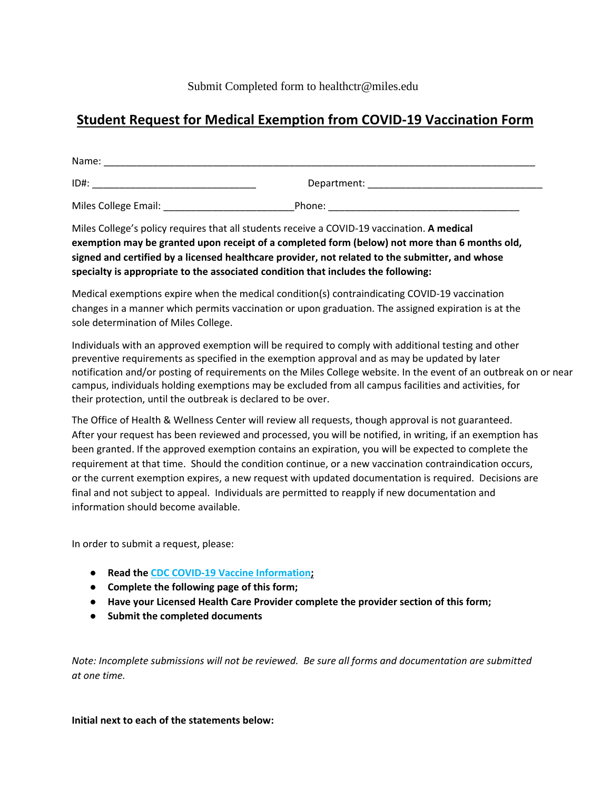# **Student Request for Medical Exemption from COVID-19 Vaccination Form**

| Name:                |             |  |
|----------------------|-------------|--|
| ID#:                 | Department: |  |
| Miles College Email: | Phone:      |  |

Miles College's policy requires that all students receive a COVID-19 vaccination. **A medical exemption may be granted upon receipt of a completed form (below) not more than 6 months old, signed and certified by a licensed healthcare provider, not related to the submitter, and whose specialty is appropriate to the associated condition that includes the following:**

Medical exemptions expire when the medical condition(s) contraindicating COVID-19 vaccination changes in a manner which permits vaccination or upon graduation. The assigned expiration is at the sole determination of Miles College.

Individuals with an approved exemption will be required to comply with additional testing and other preventive requirements as specified in the exemption approval and as may be updated by later notification and/or posting of requirements on the Miles College website. In the event of an outbreak on or near campus, individuals holding exemptions may be excluded from all campus facilities and activities, for their protection, until the outbreak is declared to be over.

The Office of Health & Wellness Center will review all requests, though approval is not guaranteed. After your request has been reviewed and processed, you will be notified, in writing, if an exemption has been granted. If the approved exemption contains an expiration, you will be expected to complete the requirement at that time. Should the condition continue, or a new vaccination contraindication occurs, or the current exemption expires, a new request with updated documentation is required. Decisions are final and not subject to appeal. Individuals are permitted to reapply if new documentation and information should become available.

In order to submit a request, please:

- **Read the [CDC COVID-19 Vaccine Information;](https://www.cdc.gov/coronavirus/2019-ncov/vaccines/keythingstoknow.html?s_cid=10496:covid%2019%20vaccine%20information:sem.ga:p:RG:GM:gen:PTN:FY21)**
- **Complete the following page of this form;**
- **Have your Licensed Health Care Provider complete the provider section of this form;**
- **Submit the completed documents**

*Note: Incomplete submissions will not be reviewed. Be sure all forms and documentation are submitted at one time.*

**Initial next to each of the statements below:**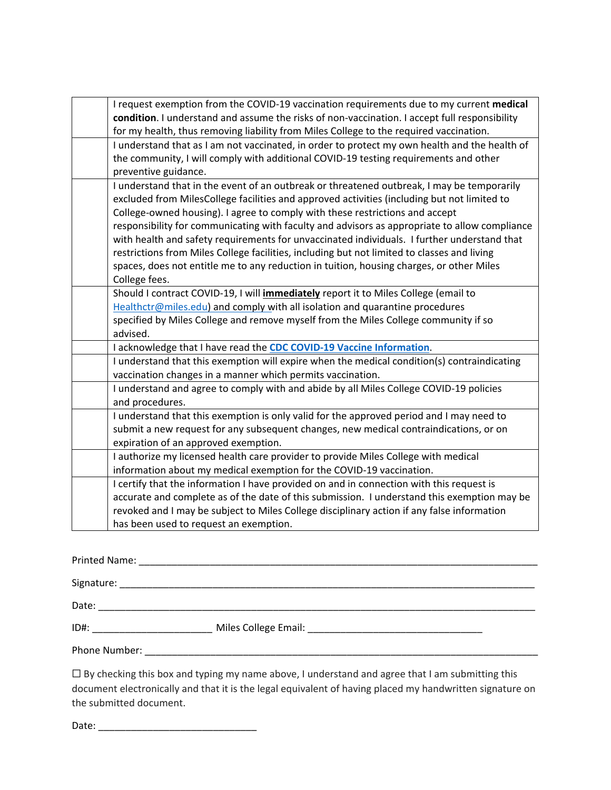| I request exemption from the COVID-19 vaccination requirements due to my current medical<br>condition. I understand and assume the risks of non-vaccination. I accept full responsibility<br>for my health, thus removing liability from Miles College to the required vaccination.<br>I understand that as I am not vaccinated, in order to protect my own health and the health of<br>the community, I will comply with additional COVID-19 testing requirements and other<br>preventive guidance.<br>I understand that in the event of an outbreak or threatened outbreak, I may be temporarily<br>excluded from MilesCollege facilities and approved activities (including but not limited to<br>College-owned housing). I agree to comply with these restrictions and accept<br>responsibility for communicating with faculty and advisors as appropriate to allow compliance<br>with health and safety requirements for unvaccinated individuals. I further understand that<br>restrictions from Miles College facilities, including but not limited to classes and living<br>spaces, does not entitle me to any reduction in tuition, housing charges, or other Miles<br>College fees.<br>Should I contract COVID-19, I will <i>immediately</i> report it to Miles College (email to<br>Healthctr@miles.edu) and comply with all isolation and quarantine procedures<br>specified by Miles College and remove myself from the Miles College community if so<br>advised.<br>I acknowledge that I have read the CDC COVID-19 Vaccine Information.<br>I understand that this exemption will expire when the medical condition(s) contraindicating |
|-------------------------------------------------------------------------------------------------------------------------------------------------------------------------------------------------------------------------------------------------------------------------------------------------------------------------------------------------------------------------------------------------------------------------------------------------------------------------------------------------------------------------------------------------------------------------------------------------------------------------------------------------------------------------------------------------------------------------------------------------------------------------------------------------------------------------------------------------------------------------------------------------------------------------------------------------------------------------------------------------------------------------------------------------------------------------------------------------------------------------------------------------------------------------------------------------------------------------------------------------------------------------------------------------------------------------------------------------------------------------------------------------------------------------------------------------------------------------------------------------------------------------------------------------------------------------------------------------------------------------------------------------------|
|                                                                                                                                                                                                                                                                                                                                                                                                                                                                                                                                                                                                                                                                                                                                                                                                                                                                                                                                                                                                                                                                                                                                                                                                                                                                                                                                                                                                                                                                                                                                                                                                                                                       |
|                                                                                                                                                                                                                                                                                                                                                                                                                                                                                                                                                                                                                                                                                                                                                                                                                                                                                                                                                                                                                                                                                                                                                                                                                                                                                                                                                                                                                                                                                                                                                                                                                                                       |
|                                                                                                                                                                                                                                                                                                                                                                                                                                                                                                                                                                                                                                                                                                                                                                                                                                                                                                                                                                                                                                                                                                                                                                                                                                                                                                                                                                                                                                                                                                                                                                                                                                                       |
|                                                                                                                                                                                                                                                                                                                                                                                                                                                                                                                                                                                                                                                                                                                                                                                                                                                                                                                                                                                                                                                                                                                                                                                                                                                                                                                                                                                                                                                                                                                                                                                                                                                       |
|                                                                                                                                                                                                                                                                                                                                                                                                                                                                                                                                                                                                                                                                                                                                                                                                                                                                                                                                                                                                                                                                                                                                                                                                                                                                                                                                                                                                                                                                                                                                                                                                                                                       |
| vaccination changes in a manner which permits vaccination.                                                                                                                                                                                                                                                                                                                                                                                                                                                                                                                                                                                                                                                                                                                                                                                                                                                                                                                                                                                                                                                                                                                                                                                                                                                                                                                                                                                                                                                                                                                                                                                            |
| I understand and agree to comply with and abide by all Miles College COVID-19 policies<br>and procedures.                                                                                                                                                                                                                                                                                                                                                                                                                                                                                                                                                                                                                                                                                                                                                                                                                                                                                                                                                                                                                                                                                                                                                                                                                                                                                                                                                                                                                                                                                                                                             |
| I understand that this exemption is only valid for the approved period and I may need to<br>submit a new request for any subsequent changes, new medical contraindications, or on<br>expiration of an approved exemption.                                                                                                                                                                                                                                                                                                                                                                                                                                                                                                                                                                                                                                                                                                                                                                                                                                                                                                                                                                                                                                                                                                                                                                                                                                                                                                                                                                                                                             |
| I authorize my licensed health care provider to provide Miles College with medical<br>information about my medical exemption for the COVID-19 vaccination.                                                                                                                                                                                                                                                                                                                                                                                                                                                                                                                                                                                                                                                                                                                                                                                                                                                                                                                                                                                                                                                                                                                                                                                                                                                                                                                                                                                                                                                                                            |
| I certify that the information I have provided on and in connection with this request is<br>accurate and complete as of the date of this submission. I understand this exemption may be<br>revoked and I may be subject to Miles College disciplinary action if any false information<br>has been used to request an exemption.                                                                                                                                                                                                                                                                                                                                                                                                                                                                                                                                                                                                                                                                                                                                                                                                                                                                                                                                                                                                                                                                                                                                                                                                                                                                                                                       |

Printed Name: \_\_\_\_\_\_\_\_\_\_\_\_\_\_\_\_\_\_\_\_\_\_\_\_\_\_\_\_\_\_\_\_\_\_\_\_\_\_\_\_\_\_\_\_\_\_\_\_\_\_\_\_\_\_\_\_\_\_\_\_\_\_\_\_\_\_\_\_\_\_\_\_\_

Signature: \_\_\_\_\_\_\_\_\_\_\_\_\_\_\_\_\_\_\_\_\_\_\_\_\_\_\_\_\_\_\_\_\_\_\_\_\_\_\_\_\_\_\_\_\_\_\_\_\_\_\_\_\_\_\_\_\_\_\_\_\_\_\_\_\_\_\_\_\_\_\_\_\_\_\_\_

Date: \_\_\_\_\_\_\_\_\_\_\_\_\_\_\_\_\_\_\_\_\_\_\_\_\_\_\_\_\_\_\_\_\_\_\_\_\_\_\_\_\_\_\_\_\_\_\_\_\_\_\_\_\_\_\_\_\_\_\_\_\_\_\_\_\_\_\_\_\_\_\_\_\_\_\_\_\_\_\_\_

| ID# | Miles College Email: |  |
|-----|----------------------|--|
|     |                      |  |

Phone Number: \_\_\_\_\_\_\_\_\_\_\_\_\_\_\_\_\_\_\_\_\_\_\_\_\_\_\_\_\_\_\_\_\_\_\_\_\_\_\_\_\_\_\_\_\_\_\_\_\_\_\_\_\_\_\_\_\_\_\_\_\_\_\_\_\_\_\_\_\_\_\_\_

☐ By checking this box and typing my name above, I understand and agree that I am submitting this document electronically and that it is the legal equivalent of having placed my handwritten signature on the submitted document.

Date: \_\_\_\_\_\_\_\_\_\_\_\_\_\_\_\_\_\_\_\_\_\_\_\_\_\_\_\_\_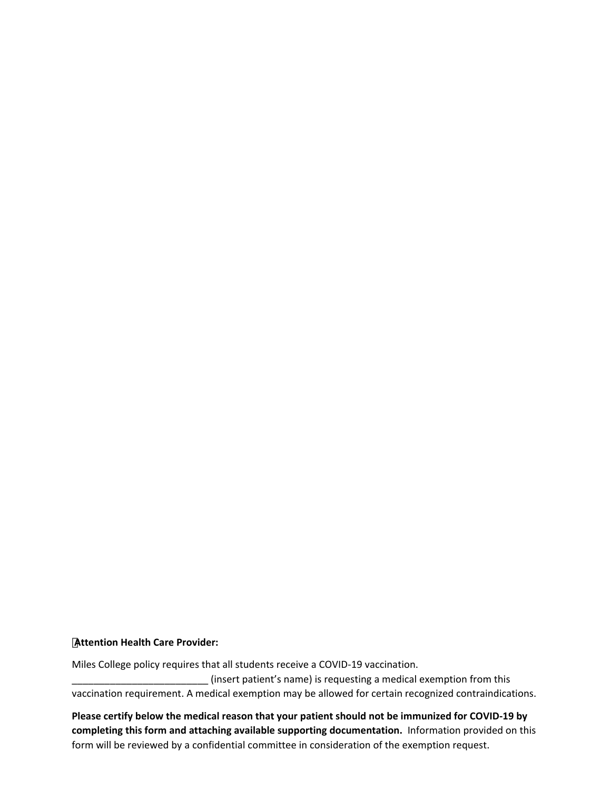#### **Attention Health Care Provider:**

Miles College policy requires that all students receive a COVID-19 vaccination.

\_\_\_\_\_\_\_\_\_\_\_\_\_\_\_\_\_\_\_\_\_\_\_\_\_ (insert patient's name) is requesting a medical exemption from this vaccination requirement. A medical exemption may be allowed for certain recognized contraindications.

**Please certify below the medical reason that your patient should not be immunized for COVID-19 by completing this form and attaching available supporting documentation.** Information provided on this form will be reviewed by a confidential committee in consideration of the exemption request.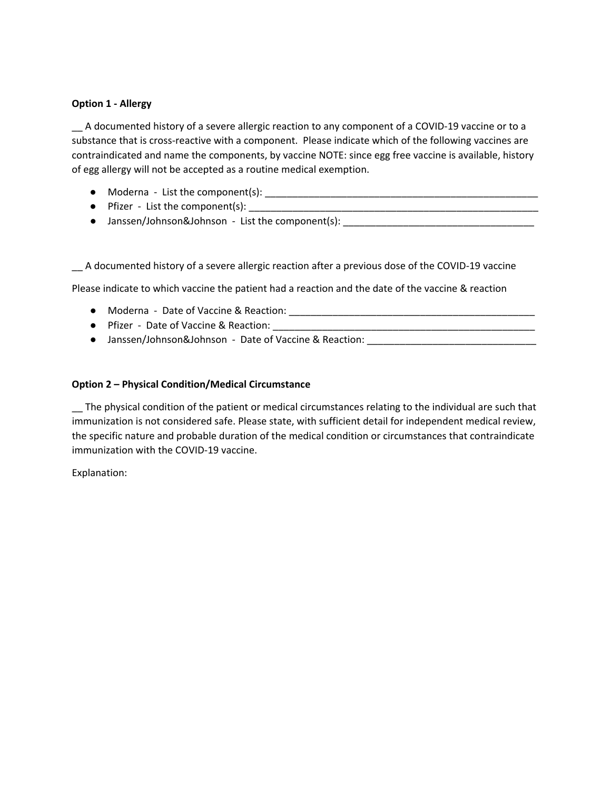# **Option 1 - Allergy**

\_\_ A documented history of a severe allergic reaction to any component of a COVID-19 vaccine or to a substance that is cross-reactive with a component. Please indicate which of the following vaccines are contraindicated and name the components, by vaccine NOTE: since egg free vaccine is available, history of egg allergy will not be accepted as a routine medical exemption.

- Moderna List the component(s): \_\_\_\_\_\_\_\_\_\_\_\_\_\_\_\_\_\_\_\_\_\_\_\_\_\_\_\_\_\_\_\_\_\_\_\_\_\_\_\_\_\_\_\_\_\_\_\_\_\_
- Pfizer List the component(s):
- Janssen/Johnson&Johnson List the component(s): \_\_\_\_\_\_\_\_\_\_\_\_\_\_\_\_\_\_\_\_\_\_\_\_\_\_\_\_

\_\_ A documented history of a severe allergic reaction after a previous dose of the COVID-19 vaccine

Please indicate to which vaccine the patient had a reaction and the date of the vaccine & reaction

- Moderna Date of Vaccine & Reaction: \_\_\_\_\_\_\_\_\_\_\_\_\_\_\_\_\_\_\_\_\_\_\_\_\_\_\_\_\_\_\_\_\_\_\_\_\_\_\_\_\_\_\_\_\_
- Pfizer Date of Vaccine & Reaction:
- Janssen/Johnson&Johnson Date of Vaccine & Reaction: \_\_\_\_\_\_\_\_\_\_\_\_\_\_\_\_\_\_\_\_\_\_\_

# **Option 2 – Physical Condition/Medical Circumstance**

\_\_ The physical condition of the patient or medical circumstances relating to the individual are such that immunization is not considered safe. Please state, with sufficient detail for independent medical review, the specific nature and probable duration of the medical condition or circumstances that contraindicate immunization with the COVID-19 vaccine.

Explanation: